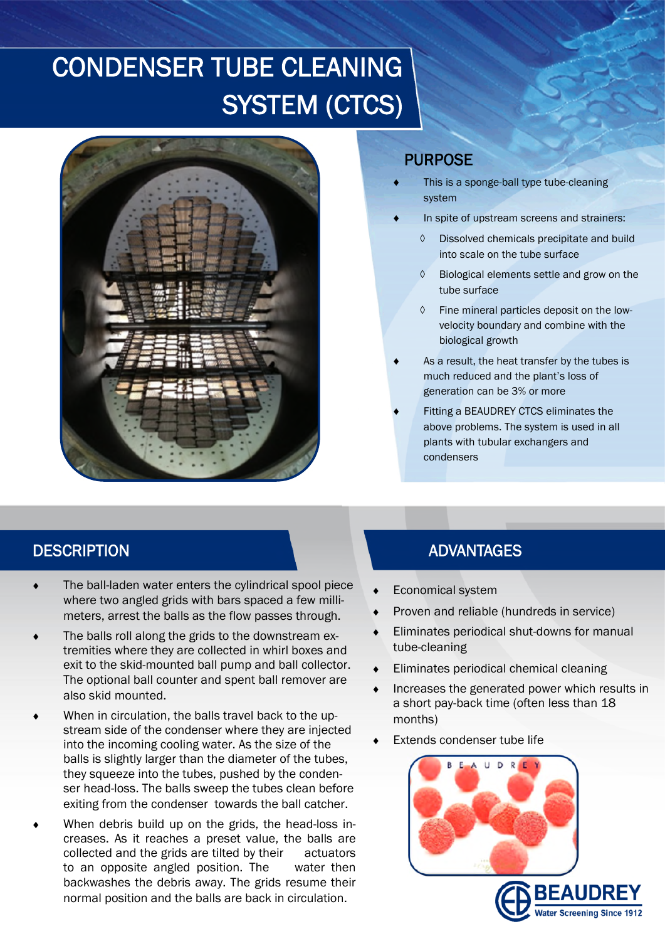# CONDENSER TUBE CLEANING SYSTEM (CTCS)



### PURPOSE

- This is a sponge-ball type tube-cleaning system
- In spite of upstream screens and strainers:
	- Dissolved chemicals precipitate and build into scale on the tube surface
	- $\Diamond$  Biological elements settle and grow on the tube surface
	- $\Diamond$  Fine mineral particles deposit on the lowvelocity boundary and combine with the biological growth
- As a result, the heat transfer by the tubes is much reduced and the plant's loss of generation can be 3% or more
- Fitting a BEAUDREY CTCS eliminates the above problems. The system is used in all plants with tubular exchangers and condensers

- The ball-laden water enters the cylindrical spool piece where two angled grids with bars spaced a few millimeters, arrest the balls as the flow passes through.
- The balls roll along the grids to the downstream extremities where they are collected in whirl boxes and exit to the skid-mounted ball pump and ball collector. The optional ball counter and spent ball remover are also skid mounted.
- When in circulation, the balls travel back to the upstream side of the condenser where they are injected into the incoming cooling water. As the size of the balls is slightly larger than the diameter of the tubes, they squeeze into the tubes, pushed by the condenser head-loss. The balls sweep the tubes clean before exiting from the condenser towards the ball catcher.
- When debris build up on the grids, the head-loss increases. As it reaches a preset value, the balls are collected and the grids are tilted by their actuators to an opposite angled position. The water then backwashes the debris away. The grids resume their normal position and the balls are back in circulation.

## DESCRIPTION ADVANTAGES

- Economical system
- Proven and reliable (hundreds in service)
- Eliminates periodical shut-downs for manual tube-cleaning
- Eliminates periodical chemical cleaning
- Increases the generated power which results in a short pay-back time (often less than 18 months)
- Extends condenser tube life